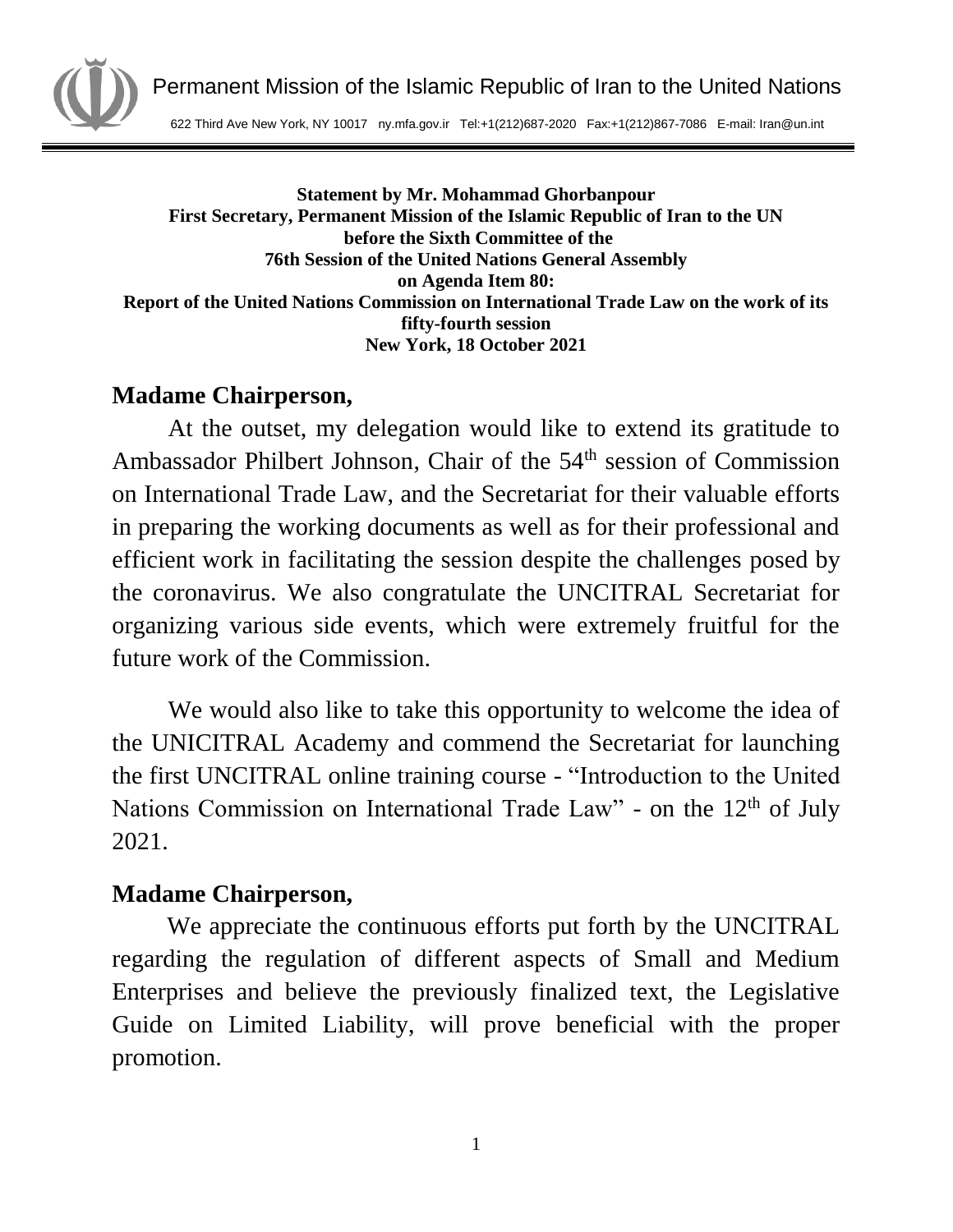

Permanent Mission of the Islamic Republic of Iran to the United Nations

622 Third Ave New York, NY 10017 ny.mfa.gov.ir Tel:+1(212)687-2020 Fax:+1(212)867-7086 E-mail: Iran@un.int

**Statement by Mr. Mohammad Ghorbanpour First Secretary, Permanent Mission of the Islamic Republic of Iran to the UN before the Sixth Committee of the 76th Session of the United Nations General Assembly on Agenda Item 80: Report of the United Nations Commission on International Trade Law on the work of its fifty-fourth session New York, 18 October 2021** 

## **Madame Chairperson,**

At the outset, my delegation would like to extend its gratitude to Ambassador Philbert Johnson, Chair of the 54<sup>th</sup> session of Commission on International Trade Law, and the Secretariat for their valuable efforts in preparing the working documents as well as for their professional and efficient work in facilitating the session despite the challenges posed by the coronavirus. We also congratulate the UNCITRAL Secretariat for organizing various side events, which were extremely fruitful for the future work of the Commission.

We would also like to take this opportunity to welcome the idea of the UNICITRAL Academy and commend the Secretariat for launching the first UNCITRAL online training course - "Introduction to the United Nations Commission on International Trade Law" - on the  $12<sup>th</sup>$  of July 2021.

## **Madame Chairperson,**

We appreciate the continuous efforts put forth by the UNCITRAL regarding the regulation of different aspects of Small and Medium Enterprises and believe the previously finalized text, the Legislative Guide on Limited Liability, will prove beneficial with the proper promotion.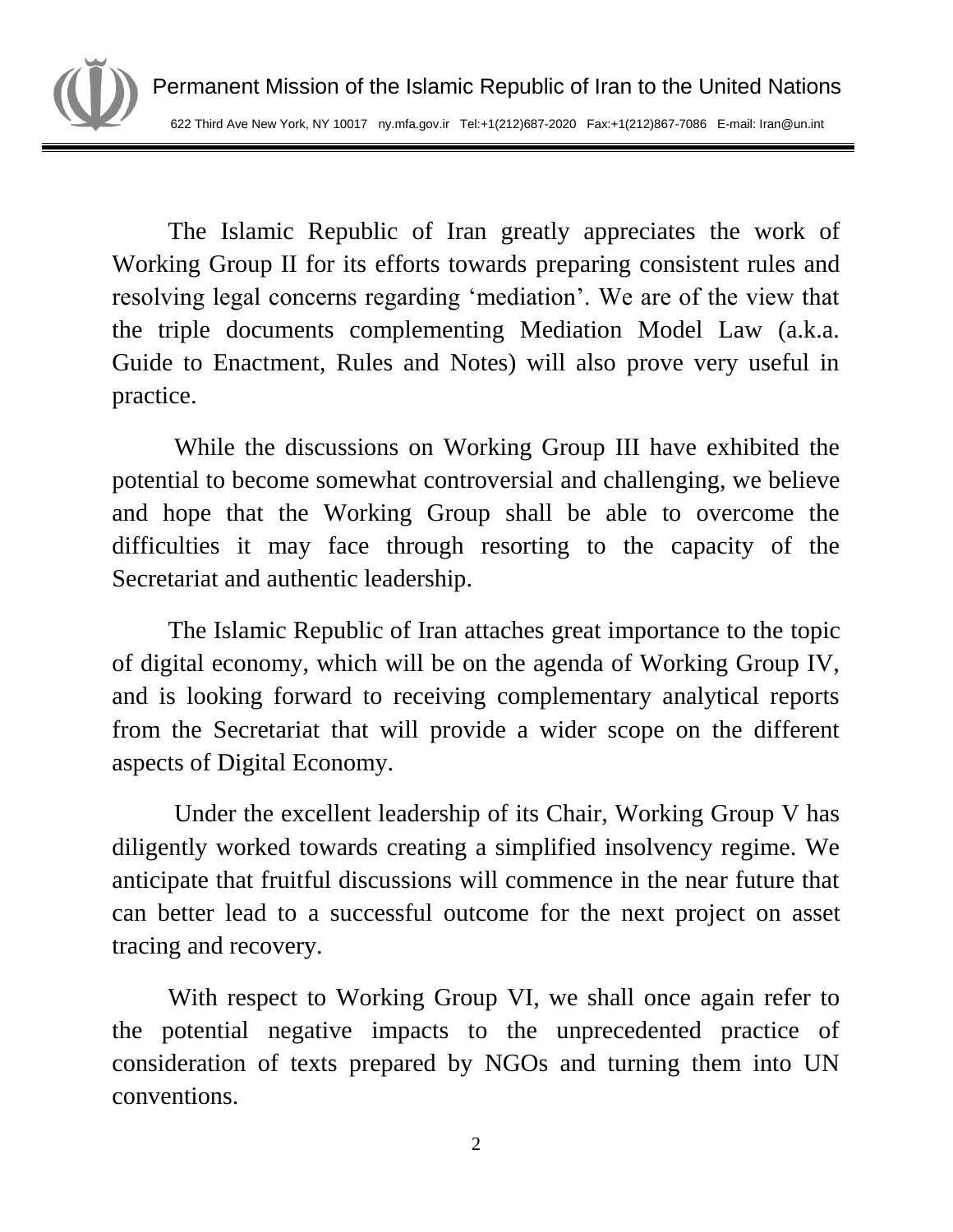The Islamic Republic of Iran greatly appreciates the work of Working Group II for its efforts towards preparing consistent rules and resolving legal concerns regarding 'mediation'. We are of the view that the triple documents complementing Mediation Model Law (a.k.a. Guide to Enactment, Rules and Notes) will also prove very useful in practice.

While the discussions on Working Group III have exhibited the potential to become somewhat controversial and challenging, we believe and hope that the Working Group shall be able to overcome the difficulties it may face through resorting to the capacity of the Secretariat and authentic leadership.

The Islamic Republic of Iran attaches great importance to the topic of digital economy, which will be on the agenda of Working Group IV, and is looking forward to receiving complementary analytical reports from the Secretariat that will provide a wider scope on the different aspects of Digital Economy.

Under the excellent leadership of its Chair, Working Group V has diligently worked towards creating a simplified insolvency regime. We anticipate that fruitful discussions will commence in the near future that can better lead to a successful outcome for the next project on asset tracing and recovery.

With respect to Working Group VI, we shall once again refer to the potential negative impacts to the unprecedented practice of consideration of texts prepared by NGOs and turning them into UN conventions.